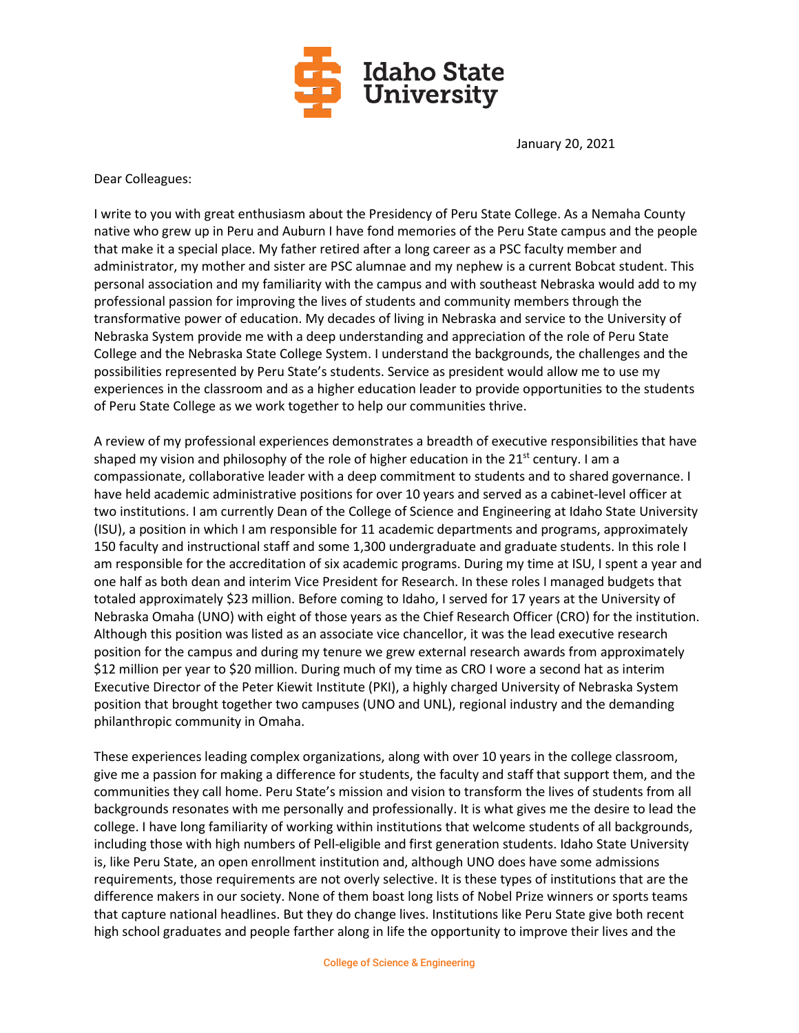

January 20, 2021

Dear Colleagues:

I write to you with great enthusiasm about the Presidency of Peru State College. As a Nemaha County native who grew up in Peru and Auburn I have fond memories of the Peru State campus and the people that make it a special place. My father retired after a long career as a PSC faculty member and administrator, my mother and sister are PSC alumnae and my nephew is a current Bobcat student. This personal association and my familiarity with the campus and with southeast Nebraska would add to my professional passion for improving the lives of students and community members through the transformative power of education. My decades of living in Nebraska and service to the University of Nebraska System provide me with a deep understanding and appreciation of the role of Peru State College and the Nebraska State College System. I understand the backgrounds, the challenges and the possibilities represented by Peru State's students. Service as president would allow me to use my experiences in the classroom and as a higher education leader to provide opportunities to the students of Peru State College as we work together to help our communities thrive.

A review of my professional experiences demonstrates a breadth of executive responsibilities that have shaped my vision and philosophy of the role of higher education in the  $21^{st}$  century. I am a compassionate, collaborative leader with a deep commitment to students and to shared governance. I have held academic administrative positions for over 10 years and served as a cabinet-level officer at two institutions. I am currently Dean of the College of Science and Engineering at Idaho State University (ISU), a position in which I am responsible for 11 academic departments and programs, approximately 150 faculty and instructional staff and some 1,300 undergraduate and graduate students. In this role I am responsible for the accreditation of six academic programs. During my time at ISU, I spent a year and one half as both dean and interim Vice President for Research. In these roles I managed budgets that totaled approximately \$23 million. Before coming to Idaho, I served for 17 years at the University of Nebraska Omaha (UNO) with eight of those years as the Chief Research Officer (CRO) for the institution. Although this position was listed as an associate vice chancellor, it was the lead executive research position for the campus and during my tenure we grew external research awards from approximately \$12 million per year to \$20 million. During much of my time as CRO I wore a second hat as interim Executive Director of the Peter Kiewit Institute (PKI), a highly charged University of Nebraska System position that brought together two campuses (UNO and UNL), regional industry and the demanding philanthropic community in Omaha.

These experiences leading complex organizations, along with over 10 years in the college classroom, give me a passion for making a difference for students, the faculty and staff that support them, and the communities they call home. Peru State's mission and vision to transform the lives of students from all backgrounds resonates with me personally and professionally. It is what gives me the desire to lead the college. I have long familiarity of working within institutions that welcome students of all backgrounds, including those with high numbers of Pell-eligible and first generation students. Idaho State University is, like Peru State, an open enrollment institution and, although UNO does have some admissions requirements, those requirements are not overly selective. It is these types of institutions that are the difference makers in our society. None of them boast long lists of Nobel Prize winners or sports teams that capture national headlines. But they do change lives. Institutions like Peru State give both recent high school graduates and people farther along in life the opportunity to improve their lives and the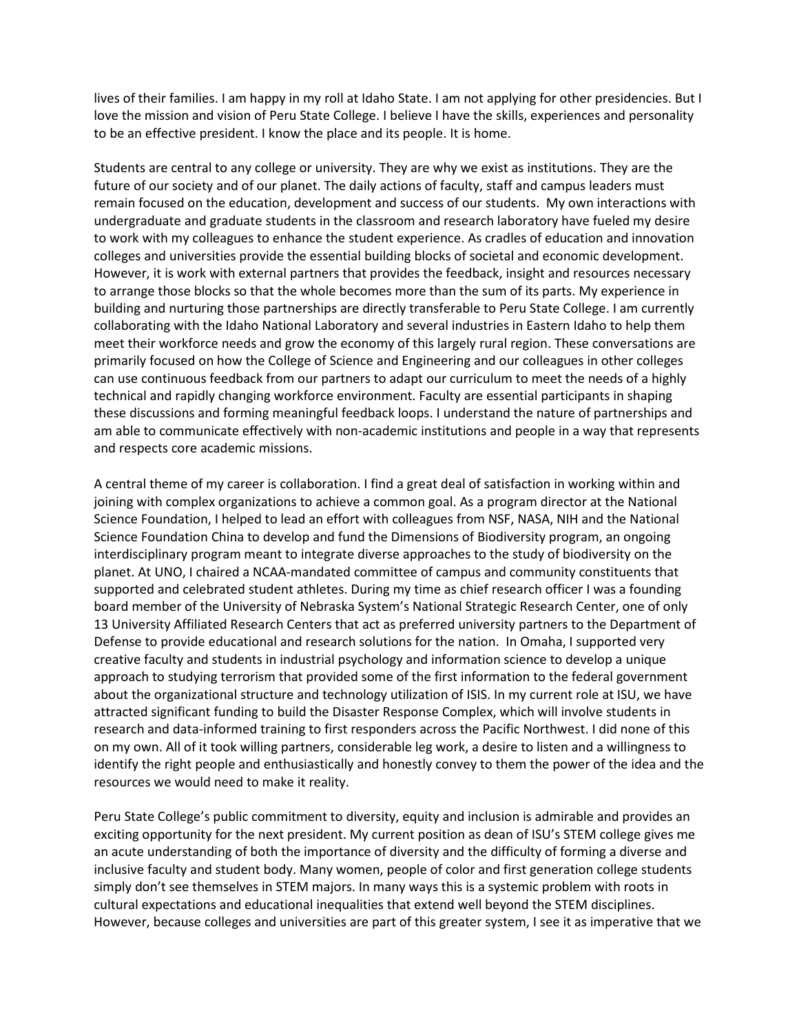lives of their families. I am happy in my roll at Idaho State. I am not applying for other presidencies. But I love the mission and vision of Peru State College. I believe I have the skills, experiences and personality to be an effective president. I know the place and its people. It is home.

Students are central to any college or university. They are why we exist as institutions. They are the future of our society and of our planet. The daily actions of faculty, staff and campus leaders must remain focused on the education, development and success of our students. My own interactions with undergraduate and graduate students in the classroom and research laboratory have fueled my desire to work with my colleagues to enhance the student experience. As cradles of education and innovation colleges and universities provide the essential building blocks of societal and economic development. However, it is work with external partners that provides the feedback, insight and resources necessary to arrange those blocks so that the whole becomes more than the sum of its parts. My experience in building and nurturing those partnerships are directly transferable to Peru State College. I am currently collaborating with the Idaho National Laboratory and several industries in Eastern Idaho to help them meet their workforce needs and grow the economy of this largely rural region. These conversations are primarily focused on how the College of Science and Engineering and our colleagues in other colleges can use continuous feedback from our partners to adapt our curriculum to meet the needs of a highly technical and rapidly changing workforce environment. Faculty are essential participants in shaping these discussions and forming meaningful feedback loops. I understand the nature of partnerships and am able to communicate effectively with non-academic institutions and people in a way that represents and respects core academic missions.

A central theme of my career is collaboration. I find a great deal of satisfaction in working within and joining with complex organizations to achieve a common goal. As a program director at the National Science Foundation, I helped to lead an effort with colleagues from NSF, NASA, NIH and the National Science Foundation China to develop and fund the Dimensions of Biodiversity program, an ongoing interdisciplinary program meant to integrate diverse approaches to the study of biodiversity on the planet. At UNO, I chaired a NCAA-mandated committee of campus and community constituents that supported and celebrated student athletes. During my time as chief research officer I was a founding board member of the University of Nebraska System's National Strategic Research Center, one of only 13 University Affiliated Research Centers that act as preferred university partners to the Department of Defense to provide educational and research solutions for the nation. In Omaha, I supported very creative faculty and students in industrial psychology and information science to develop a unique approach to studying terrorism that provided some of the first information to the federal government about the organizational structure and technology utilization of ISIS. In my current role at ISU, we have attracted significant funding to build the Disaster Response Complex, which will involve students in research and data-informed training to first responders across the Pacific Northwest. I did none of this on my own. All of it took willing partners, considerable leg work, a desire to listen and a willingness to identify the right people and enthusiastically and honestly convey to them the power of the idea and the resources we would need to make it reality.

Peru State College's public commitment to diversity, equity and inclusion is admirable and provides an exciting opportunity for the next president. My current position as dean of ISU's STEM college gives me an acute understanding of both the importance of diversity and the difficulty of forming a diverse and inclusive faculty and student body. Many women, people of color and first generation college students simply don't see themselves in STEM majors. In many ways this is a systemic problem with roots in cultural expectations and educational inequalities that extend well beyond the STEM disciplines. However, because colleges and universities are part of this greater system, I see it as imperative that we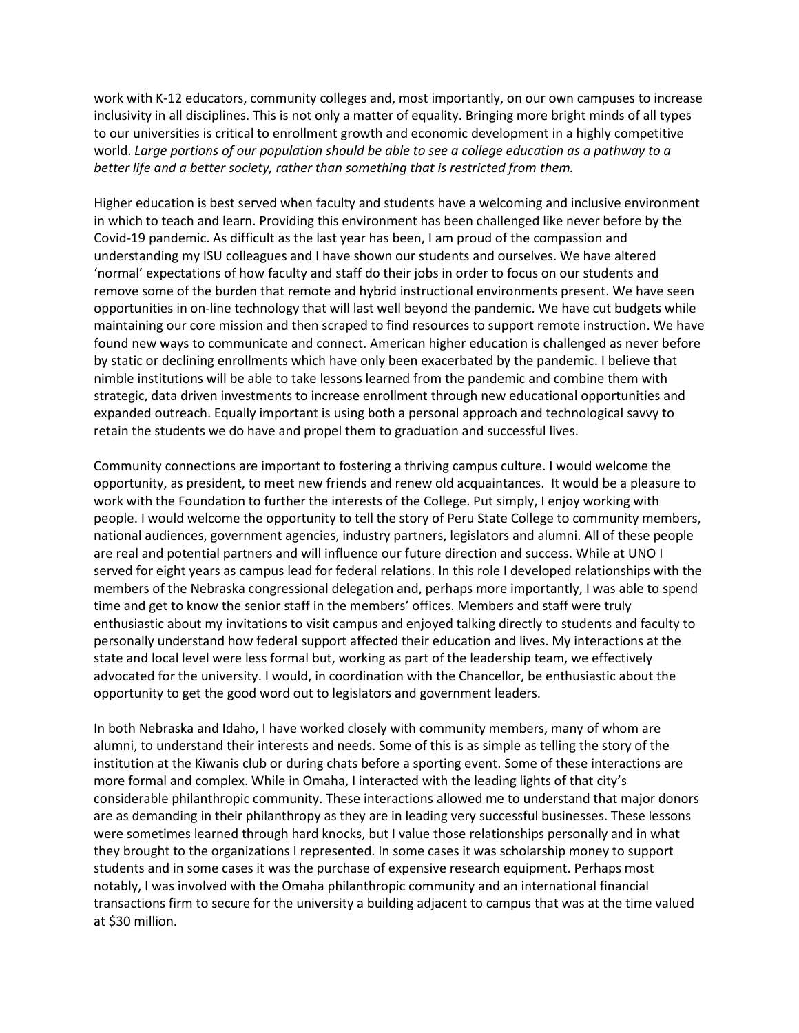work with K-12 educators, community colleges and, most importantly, on our own campuses to increase inclusivity in all disciplines. This is not only a matter of equality. Bringing more bright minds of all types to our universities is critical to enrollment growth and economic development in a highly competitive world. *Large portions of our population should be able to see a college education as a pathway to a better life and a better society, rather than something that is restricted from them.* 

Higher education is best served when faculty and students have a welcoming and inclusive environment in which to teach and learn. Providing this environment has been challenged like never before by the Covid-19 pandemic. As difficult as the last year has been, I am proud of the compassion and understanding my ISU colleagues and I have shown our students and ourselves. We have altered 'normal' expectations of how faculty and staff do their jobs in order to focus on our students and remove some of the burden that remote and hybrid instructional environments present. We have seen opportunities in on-line technology that will last well beyond the pandemic. We have cut budgets while maintaining our core mission and then scraped to find resources to support remote instruction. We have found new ways to communicate and connect. American higher education is challenged as never before by static or declining enrollments which have only been exacerbated by the pandemic. I believe that nimble institutions will be able to take lessons learned from the pandemic and combine them with strategic, data driven investments to increase enrollment through new educational opportunities and expanded outreach. Equally important is using both a personal approach and technological savvy to retain the students we do have and propel them to graduation and successful lives.

Community connections are important to fostering a thriving campus culture. I would welcome the opportunity, as president, to meet new friends and renew old acquaintances. It would be a pleasure to work with the Foundation to further the interests of the College. Put simply, I enjoy working with people. I would welcome the opportunity to tell the story of Peru State College to community members, national audiences, government agencies, industry partners, legislators and alumni. All of these people are real and potential partners and will influence our future direction and success. While at UNO I served for eight years as campus lead for federal relations. In this role I developed relationships with the members of the Nebraska congressional delegation and, perhaps more importantly, I was able to spend time and get to know the senior staff in the members' offices. Members and staff were truly enthusiastic about my invitations to visit campus and enjoyed talking directly to students and faculty to personally understand how federal support affected their education and lives. My interactions at the state and local level were less formal but, working as part of the leadership team, we effectively advocated for the university. I would, in coordination with the Chancellor, be enthusiastic about the opportunity to get the good word out to legislators and government leaders.

In both Nebraska and Idaho, I have worked closely with community members, many of whom are alumni, to understand their interests and needs. Some of this is as simple as telling the story of the institution at the Kiwanis club or during chats before a sporting event. Some of these interactions are more formal and complex. While in Omaha, I interacted with the leading lights of that city's considerable philanthropic community. These interactions allowed me to understand that major donors are as demanding in their philanthropy as they are in leading very successful businesses. These lessons were sometimes learned through hard knocks, but I value those relationships personally and in what they brought to the organizations I represented. In some cases it was scholarship money to support students and in some cases it was the purchase of expensive research equipment. Perhaps most notably, I was involved with the Omaha philanthropic community and an international financial transactions firm to secure for the university a building adjacent to campus that was at the time valued at \$30 million.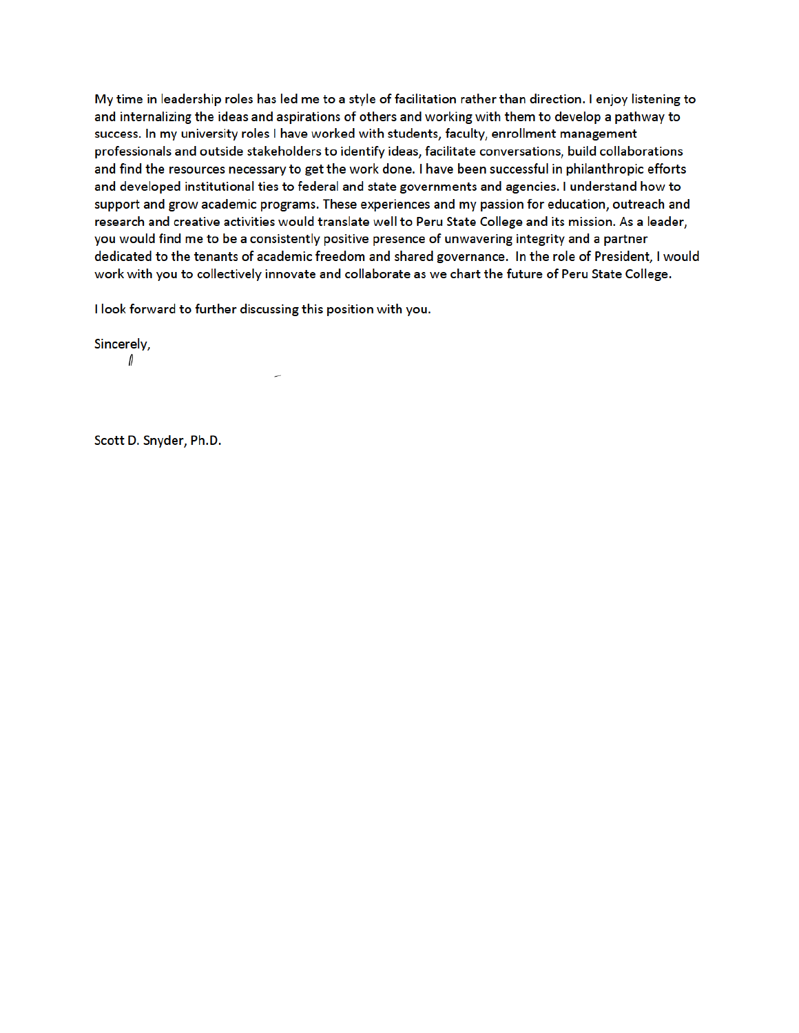My time in leadership roles has led me to a style of facilitation rather than direction. I enjoy listening to and internalizing the ideas and aspirations of others and working with them to develop a pathway to success. In my university roles I have worked with students, faculty, enrollment management professionals and outside stakeholders to identify ideas, facilitate conversations, build collaborations and find the resources necessary to get the work done. I have been successful in philanthropic efforts and developed institutional ties to federal and state governments and agencies. I understand how to support and grow academic programs. These experiences and my passion for education, outreach and research and creative activities would translate well to Peru State College and its mission. As a leader, you would find me to be a consistently positive presence of unwavering integrity and a partner dedicated to the tenants of academic freedom and shared governance. In the role of President, I would work with you to collectively innovate and collaborate as we chart the future of Peru State College.

I look forward to further discussing this position with you.

Sincerely,

 $\mathbf{\iota}$ 

Scott D. Snyder, Ph.D.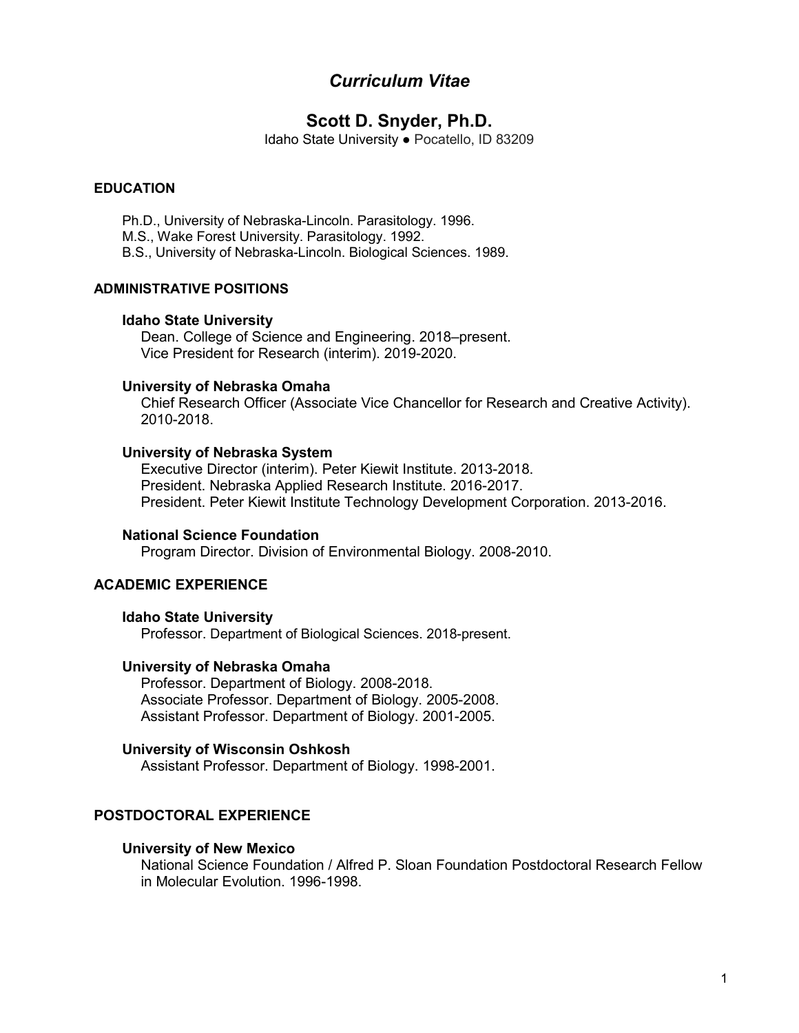# *Curriculum Vitae*

# **Scott D. Snyder, Ph.D.**

Idaho State University ● Pocatello, ID 83209

### **EDUCATION**

Ph.D., University of Nebraska-Lincoln. Parasitology. 1996.

M.S., Wake Forest University. Parasitology. 1992.

B.S., University of Nebraska-Lincoln. Biological Sciences. 1989.

#### **ADMINISTRATIVE POSITIONS**

#### **Idaho State University**

Dean. College of Science and Engineering. 2018–present. Vice President for Research (interim). 2019-2020.

#### **University of Nebraska Omaha**

Chief Research Officer (Associate Vice Chancellor for Research and Creative Activity). 2010-2018.

#### **University of Nebraska System**

Executive Director (interim). Peter Kiewit Institute. 2013-2018. President. Nebraska Applied Research Institute. 2016-2017. President. Peter Kiewit Institute Technology Development Corporation. 2013-2016.

#### **National Science Foundation**

Program Director. Division of Environmental Biology. 2008-2010.

### **ACADEMIC EXPERIENCE**

#### **Idaho State University**

Professor. Department of Biological Sciences. 2018-present.

#### **University of Nebraska Omaha**

Professor. Department of Biology. 2008-2018. Associate Professor. Department of Biology. 2005-2008. Assistant Professor. Department of Biology. 2001-2005.

#### **University of Wisconsin Oshkosh**

Assistant Professor. Department of Biology. 1998-2001.

### **POSTDOCTORAL EXPERIENCE**

#### **University of New Mexico**

National Science Foundation / Alfred P. Sloan Foundation Postdoctoral Research Fellow in Molecular Evolution. 1996-1998.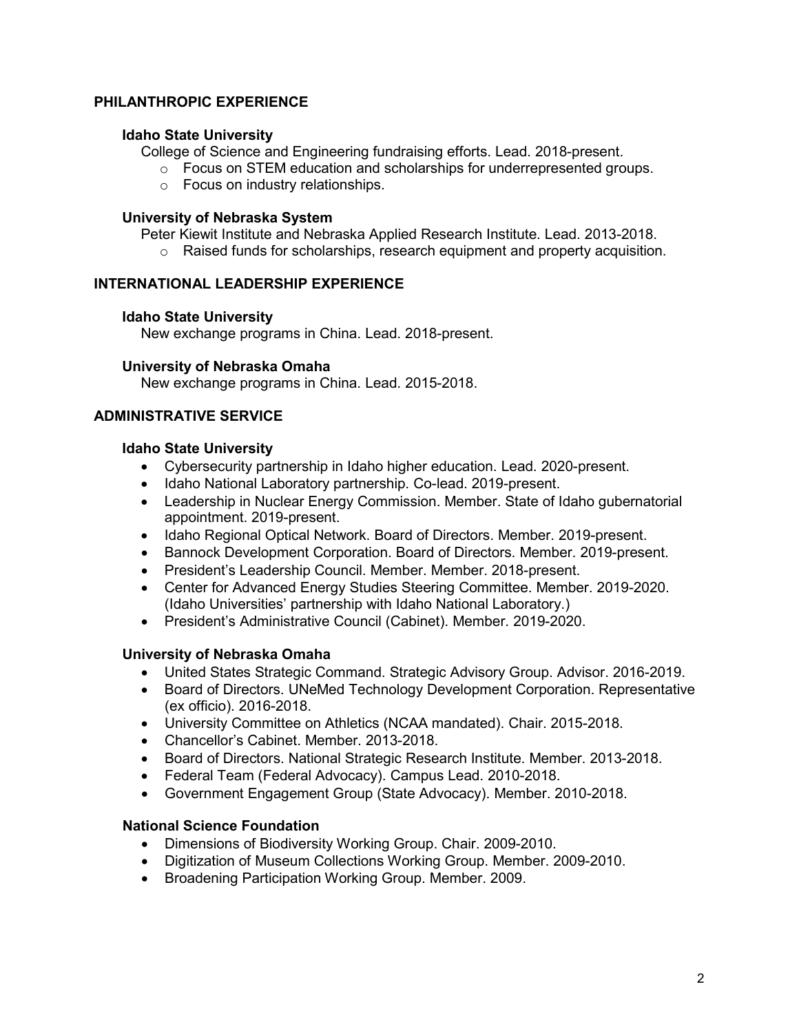### **PHILANTHROPIC EXPERIENCE**

### **Idaho State University**

College of Science and Engineering fundraising efforts. Lead. 2018-present.

- $\circ$  Focus on STEM education and scholarships for underrepresented groups.
- o Focus on industry relationships.

### **University of Nebraska System**

Peter Kiewit Institute and Nebraska Applied Research Institute. Lead. 2013-2018.

o Raised funds for scholarships, research equipment and property acquisition.

### **INTERNATIONAL LEADERSHIP EXPERIENCE**

### **Idaho State University**

New exchange programs in China. Lead. 2018-present.

### **University of Nebraska Omaha**

New exchange programs in China. Lead. 2015-2018.

### **ADMINISTRATIVE SERVICE**

### **Idaho State University**

- Cybersecurity partnership in Idaho higher education. Lead. 2020-present.
- Idaho National Laboratory partnership. Co-lead. 2019-present.
- Leadership in Nuclear Energy Commission. Member. State of Idaho gubernatorial appointment. 2019-present.
- Idaho Regional Optical Network. Board of Directors. Member. 2019-present.
- Bannock Development Corporation. Board of Directors. Member. 2019-present.
- President's Leadership Council. Member. Member. 2018-present.
- Center for Advanced Energy Studies Steering Committee. Member. 2019-2020. (Idaho Universities' partnership with Idaho National Laboratory.)
- President's Administrative Council (Cabinet). Member. 2019-2020.

### **University of Nebraska Omaha**

- United States Strategic Command. Strategic Advisory Group. Advisor. 2016-2019.
- Board of Directors. UNeMed Technology Development Corporation. Representative (ex officio). 2016-2018.
- University Committee on Athletics (NCAA mandated). Chair. 2015-2018.
- Chancellor's Cabinet. Member. 2013-2018.
- Board of Directors. National Strategic Research Institute. Member. 2013-2018.
- Federal Team (Federal Advocacy). Campus Lead. 2010-2018.
- Government Engagement Group (State Advocacy). Member. 2010-2018.

#### **National Science Foundation**

- Dimensions of Biodiversity Working Group. Chair. 2009-2010.
- Digitization of Museum Collections Working Group. Member. 2009-2010.
- Broadening Participation Working Group. Member. 2009.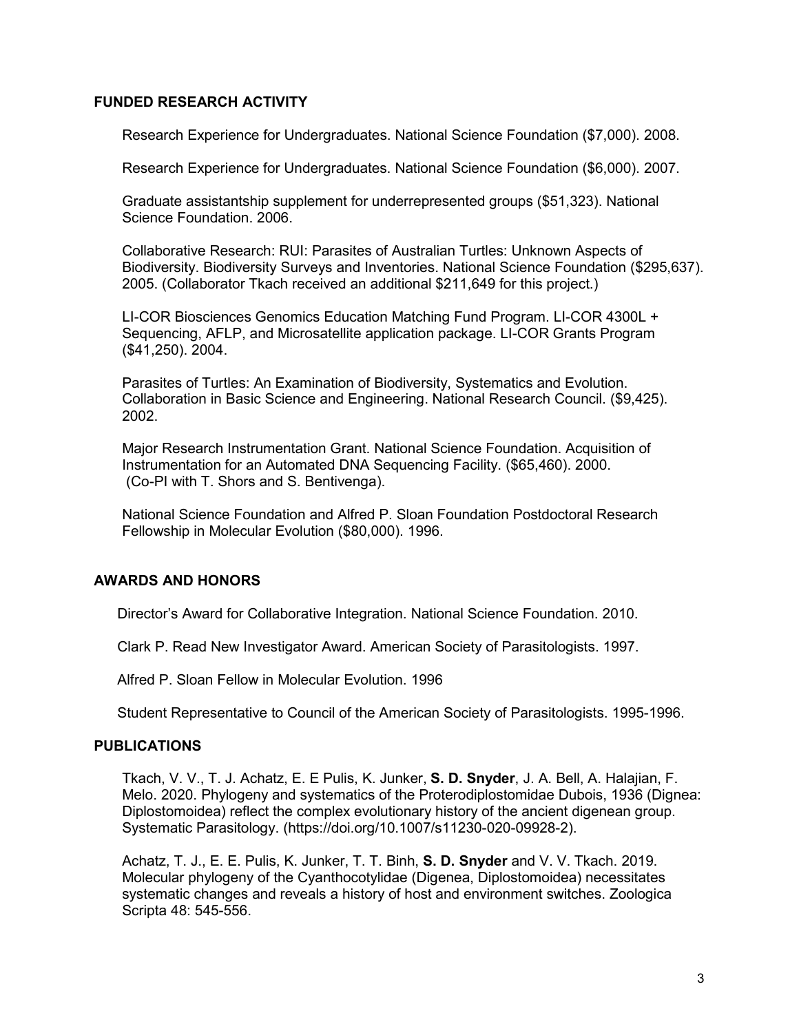### **FUNDED RESEARCH ACTIVITY**

Research Experience for Undergraduates. National Science Foundation (\$7,000). 2008.

Research Experience for Undergraduates. National Science Foundation (\$6,000). 2007.

Graduate assistantship supplement for underrepresented groups (\$51,323). National Science Foundation. 2006.

Collaborative Research: RUI: Parasites of Australian Turtles: Unknown Aspects of Biodiversity. Biodiversity Surveys and Inventories. National Science Foundation (\$295,637). 2005. (Collaborator Tkach received an additional \$211,649 for this project.)

LI-COR Biosciences Genomics Education Matching Fund Program. LI-COR 4300L + Sequencing, AFLP, and Microsatellite application package. LI-COR Grants Program (\$41,250). 2004.

Parasites of Turtles: An Examination of Biodiversity, Systematics and Evolution. Collaboration in Basic Science and Engineering. National Research Council. (\$9,425). 2002.

Major Research Instrumentation Grant. National Science Foundation. Acquisition of Instrumentation for an Automated DNA Sequencing Facility. (\$65,460). 2000. (Co-PI with T. Shors and S. Bentivenga).

National Science Foundation and Alfred P. Sloan Foundation Postdoctoral Research Fellowship in Molecular Evolution (\$80,000). 1996.

### **AWARDS AND HONORS**

Director's Award for Collaborative Integration. National Science Foundation. 2010.

Clark P. Read New Investigator Award. American Society of Parasitologists. 1997.

Alfred P. Sloan Fellow in Molecular Evolution. 1996

Student Representative to Council of the American Society of Parasitologists. 1995-1996.

#### **PUBLICATIONS**

Tkach, V. V., T. J. Achatz, E. E Pulis, K. Junker, **S. D. Snyder**, J. A. Bell, A. Halajian, F. Melo. 2020. Phylogeny and systematics of the Proterodiplostomidae Dubois, 1936 (Dignea: Diplostomoidea) reflect the complex evolutionary history of the ancient digenean group. Systematic Parasitology. (https://doi.org/10.1007/s11230-020-09928-2).

Achatz, T. J., E. E. Pulis, K. Junker, T. T. Binh, **S. D. Snyder** and V. V. Tkach. 2019. Molecular phylogeny of the Cyanthocotylidae (Digenea, Diplostomoidea) necessitates systematic changes and reveals a history of host and environment switches. Zoologica Scripta 48: 545-556.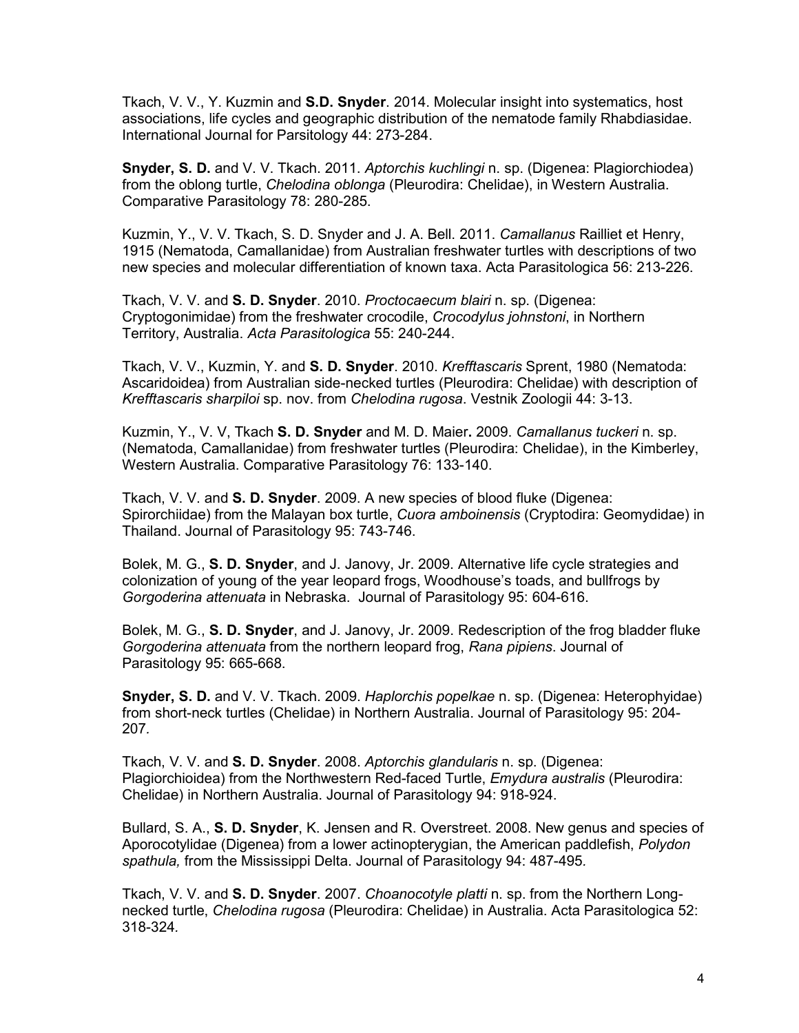Tkach, V. V., Y. Kuzmin and **S.D. Snyder**. 2014. Molecular insight into systematics, host associations, life cycles and geographic distribution of the nematode family Rhabdiasidae. International Journal for Parsitology 44: 273-284.

**Snyder, S. D.** and V. V. Tkach. 2011. *Aptorchis kuchlingi* n. sp. (Digenea: Plagiorchiodea) from the oblong turtle, *Chelodina oblonga* (Pleurodira: Chelidae), in Western Australia. Comparative Parasitology 78: 280-285.

Kuzmin, Y., V. V. Tkach, S. D. Snyder and J. A. Bell. 2011. *Camallanus* Railliet et Henry, 1915 (Nematoda, Camallanidae) from Australian freshwater turtles with descriptions of two new species and molecular differentiation of known taxa. Acta Parasitologica 56: 213-226.

Tkach, V. V. and **S. D. Snyder**. 2010. *Proctocaecum blairi* n. sp. (Digenea: Cryptogonimidae) from the freshwater crocodile, *Crocodylus johnstoni*, in Northern Territory, Australia. *Acta Parasitologica* 55: 240-244.

Tkach, V. V., Kuzmin, Y. and **S. D. Snyder**. 2010. *Krefftascaris* Sprent, 1980 (Nematoda: Ascaridoidea) from Australian side-necked turtles (Pleurodira: Chelidae) with description of *Krefftascaris sharpiloi* sp. nov. from *Chelodina rugosa*. Vestnik Zoologii 44: 3-13.

Kuzmin, Y., V. V, Tkach **S. D. Snyder** and M. D. Maier**.** 2009. *Camallanus tuckeri* n. sp. (Nematoda, Camallanidae) from freshwater turtles (Pleurodira: Chelidae), in the Kimberley, Western Australia. Comparative Parasitology 76: 133-140.

Tkach, V. V. and **S. D. Snyder**. 2009. A new species of blood fluke (Digenea: Spirorchiidae) from the Malayan box turtle, *Cuora amboinensis* (Cryptodira: Geomydidae) in Thailand. Journal of Parasitology 95: 743-746.

Bolek, M. G., **S. D. Snyder**, and J. Janovy, Jr. 2009. Alternative life cycle strategies and colonization of young of the year leopard frogs, Woodhouse's toads, and bullfrogs by *Gorgoderina attenuata* in Nebraska. Journal of Parasitology 95: 604-616.

Bolek, M. G., **S. D. Snyder**, and J. Janovy, Jr. 2009. Redescription of the frog bladder fluke *Gorgoderina attenuata* from the northern leopard frog, *Rana pipiens*. Journal of Parasitology 95: 665-668.

**Snyder, S. D.** and V. V. Tkach. 2009. *Haplorchis popelkae* n. sp. (Digenea: Heterophyidae) from short-neck turtles (Chelidae) in Northern Australia. Journal of Parasitology 95: 204- 207*.* 

Tkach, V. V. and **S. D. Snyder**. 2008. *Aptorchis glandularis* n. sp. (Digenea: Plagiorchioidea) from the Northwestern Red-faced Turtle, *Emydura australis* (Pleurodira: Chelidae) in Northern Australia. Journal of Parasitology 94: 918-924.

Bullard, S. A., **S. D. Snyder**, K. Jensen and R. Overstreet. 2008. New genus and species of Aporocotylidae (Digenea) from a lower actinopterygian, the American paddlefish, *Polydon spathula,* from the Mississippi Delta. Journal of Parasitology 94: 487-495*.* 

Tkach, V. V. and **S. D. Snyder**. 2007. *Choanocotyle platti* n. sp. from the Northern Longnecked turtle, *Chelodina rugosa* (Pleurodira: Chelidae) in Australia. Acta Parasitologica 52: 318-324*.*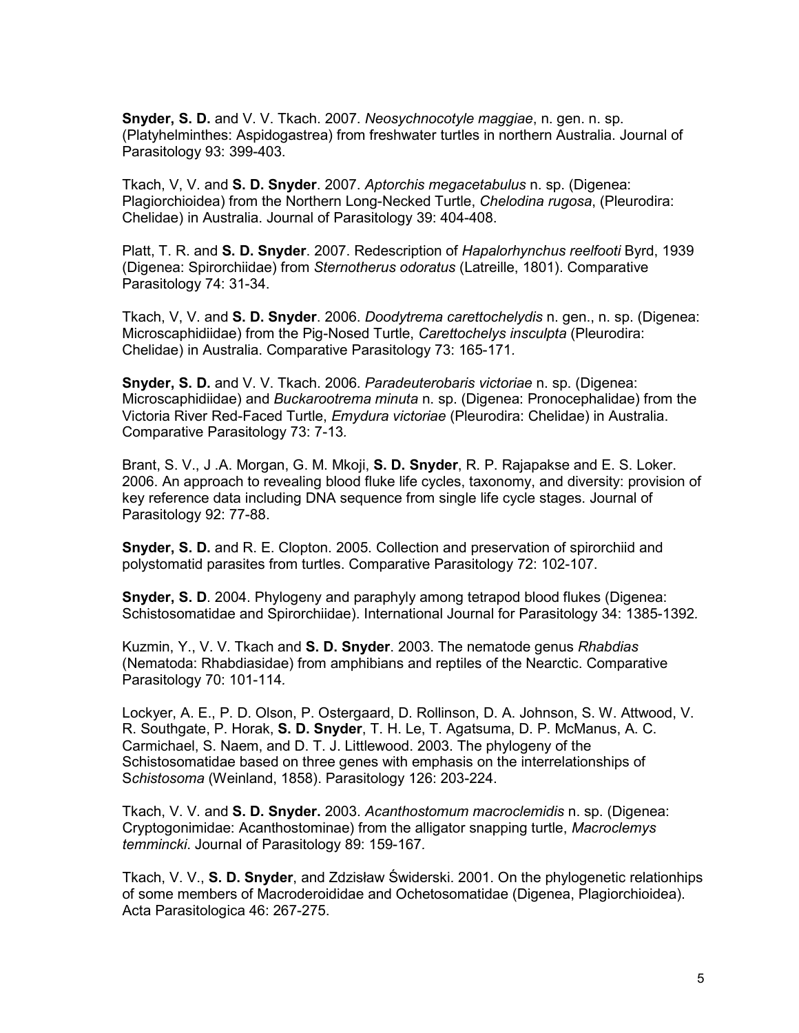**Snyder, S. D.** and V. V. Tkach. 2007. *Neosychnocotyle maggiae*, n. gen. n. sp. (Platyhelminthes: Aspidogastrea) from freshwater turtles in northern Australia. Journal of Parasitology 93: 399-403.

Tkach, V, V. and **S. D. Snyder**. 2007. *Aptorchis megacetabulus* n. sp. (Digenea: Plagiorchioidea) from the Northern Long-Necked Turtle, *Chelodina rugosa*, (Pleurodira: Chelidae) in Australia. Journal of Parasitology 39: 404-408.

Platt, T. R. and **S. D. Snyder**. 2007. Redescription of *Hapalorhynchus reelfooti* Byrd, 1939 (Digenea: Spirorchiidae) from *Sternotherus odoratus* (Latreille, 1801). Comparative Parasitology 74: 31-34.

Tkach, V, V. and **S. D. Snyder**. 2006. *Doodytrema carettochelydis* n. gen., n. sp. (Digenea: Microscaphidiidae) from the Pig-Nosed Turtle, *Carettochelys insculpta* (Pleurodira: Chelidae) in Australia. Comparative Parasitology 73: 165-171*.* 

**Snyder, S. D.** and V. V. Tkach. 2006. *Paradeuterobaris victoriae* n. sp. (Digenea: Microscaphidiidae) and *Buckarootrema minuta* n. sp. (Digenea: Pronocephalidae) from the Victoria River Red-Faced Turtle, *Emydura victoriae* (Pleurodira: Chelidae) in Australia. Comparative Parasitology 73: 7-13*.* 

Brant, S. V., J .A. Morgan, G. M. Mkoji, **S. D. Snyder**, R. P. Rajapakse and E. S. Loker. 2006. An approach to revealing blood fluke life cycles, taxonomy, and diversity: provision of key reference data including DNA sequence from single life cycle stages. Journal of Parasitology 92: 77-88.

**Snyder, S. D.** and R. E. Clopton. 2005. Collection and preservation of spirorchiid and polystomatid parasites from turtles. Comparative Parasitology 72: 102-107.

**Snyder, S. D**. 2004. Phylogeny and paraphyly among tetrapod blood flukes (Digenea: Schistosomatidae and Spirorchiidae). International Journal for Parasitology 34: 1385-1392*.* 

Kuzmin, Y., V. V. Tkach and **S. D. Snyder**. 2003. The nematode genus *Rhabdias* (Nematoda: Rhabdiasidae) from amphibians and reptiles of the Nearctic. Comparative Parasitology 70: 101-114*.* 

Lockyer, A. E., P. D. Olson, P. Ostergaard, D. Rollinson, D. A. Johnson, S. W. Attwood, V. R. Southgate, P. Horak, **S. D. Snyder**, T. H. Le, T. Agatsuma, D. P. McManus, A. C. Carmichael, S. Naem, and D. T. J. Littlewood. 2003. The phylogeny of the Schistosomatidae based on three genes with emphasis on the interrelationships of S*chistosoma* (Weinland, 1858). Parasitology 126: 203-224.

Tkach, V. V. and **S. D. Snyder.** 2003. *Acanthostomum macroclemidis* n. sp. (Digenea: Cryptogonimidae: Acanthostominae) from the alligator snapping turtle, *Macroclemys temmincki*. Journal of Parasitology 89: 159-167*.* 

Tkach, V. V., **S. D. Snyder**, and Zdzisław Świderski. 2001. On the phylogenetic relationhips of some members of Macroderoididae and Ochetosomatidae (Digenea, Plagiorchioidea). Acta Parasitologica 46: 267-275.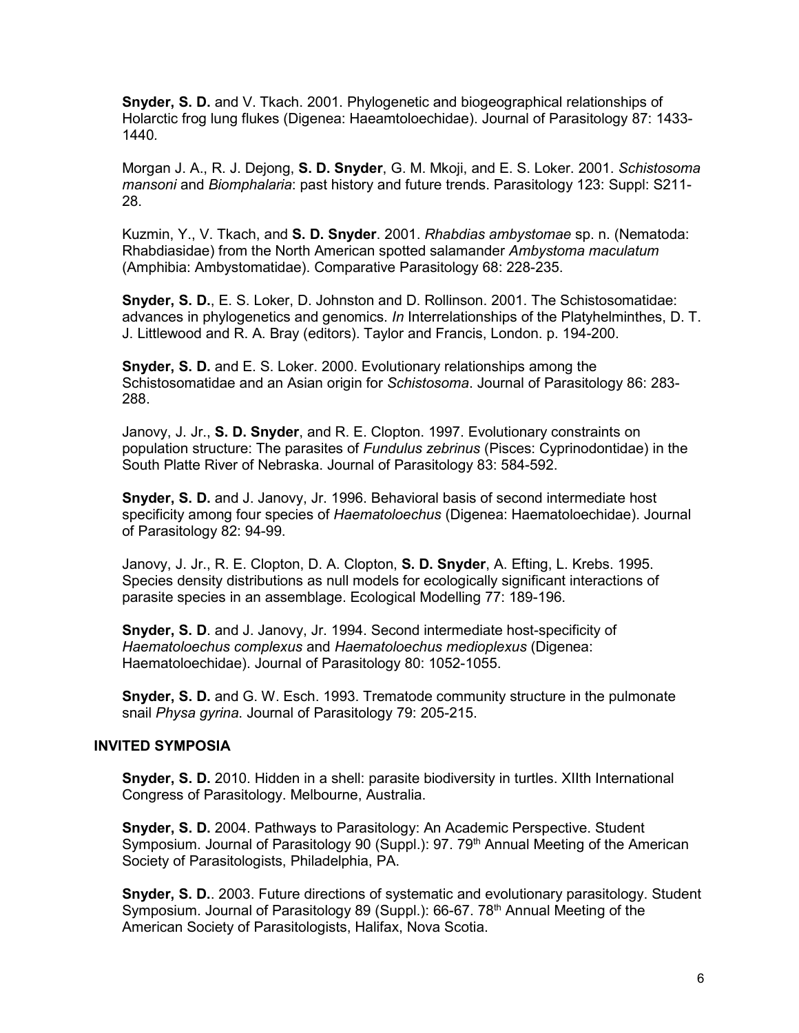**Snyder, S. D.** and V. Tkach. 2001. Phylogenetic and biogeographical relationships of Holarctic frog lung flukes (Digenea: Haeamtoloechidae). Journal of Parasitology 87: 1433- 1440*.* 

Morgan J. A., R. J. Dejong, **S. D. Snyder**, G. M. Mkoji, and E. S. Loker. 2001. *Schistosoma mansoni* and *Biomphalaria*: past history and future trends. Parasitology 123: Suppl: S211- 28.

Kuzmin, Y., V. Tkach, and **S. D. Snyder**. 2001. *Rhabdias ambystomae* sp. n. (Nematoda: Rhabdiasidae) from the North American spotted salamander *Ambystoma maculatum* (Amphibia: Ambystomatidae). Comparative Parasitology 68: 228-235.

**Snyder, S. D.**, E. S. Loker, D. Johnston and D. Rollinson. 2001. The Schistosomatidae: advances in phylogenetics and genomics. *In* Interrelationships of the Platyhelminthes, D. T. J. Littlewood and R. A. Bray (editors). Taylor and Francis, London. p. 194-200.

**Snyder, S. D.** and E. S. Loker. 2000. Evolutionary relationships among the Schistosomatidae and an Asian origin for *Schistosoma*. Journal of Parasitology 86: 283- 288.

Janovy, J. Jr., **S. D. Snyder**, and R. E. Clopton. 1997. Evolutionary constraints on population structure: The parasites of *Fundulus zebrinus* (Pisces: Cyprinodontidae) in the South Platte River of Nebraska. Journal of Parasitology 83: 584-592.

**Snyder, S. D.** and J. Janovy, Jr. 1996. Behavioral basis of second intermediate host specificity among four species of *Haematoloechus* (Digenea: Haematoloechidae). Journal of Parasitology 82: 94-99.

Janovy, J. Jr., R. E. Clopton, D. A. Clopton, **S. D. Snyder**, A. Efting, L. Krebs. 1995. Species density distributions as null models for ecologically significant interactions of parasite species in an assemblage. Ecological Modelling 77: 189-196.

**Snyder, S. D**. and J. Janovy, Jr. 1994. Second intermediate host-specificity of *Haematoloechus complexus* and *Haematoloechus medioplexus* (Digenea: Haematoloechidae). Journal of Parasitology 80: 1052-1055.

**Snyder, S. D.** and G. W. Esch. 1993. Trematode community structure in the pulmonate snail *Physa gyrina*. Journal of Parasitology 79: 205-215.

#### **INVITED SYMPOSIA**

**Snyder, S. D.** 2010. Hidden in a shell: parasite biodiversity in turtles. XIIth International Congress of Parasitology. Melbourne, Australia.

**Snyder, S. D.** 2004. Pathways to Parasitology: An Academic Perspective. Student Symposium. Journal of Parasitology 90 (Suppl.): 97. 79<sup>th</sup> Annual Meeting of the American Society of Parasitologists, Philadelphia, PA.

**Snyder, S. D.**. 2003. Future directions of systematic and evolutionary parasitology. Student Symposium. Journal of Parasitology 89 (Suppl.): 66-67. 78<sup>th</sup> Annual Meeting of the American Society of Parasitologists, Halifax, Nova Scotia.